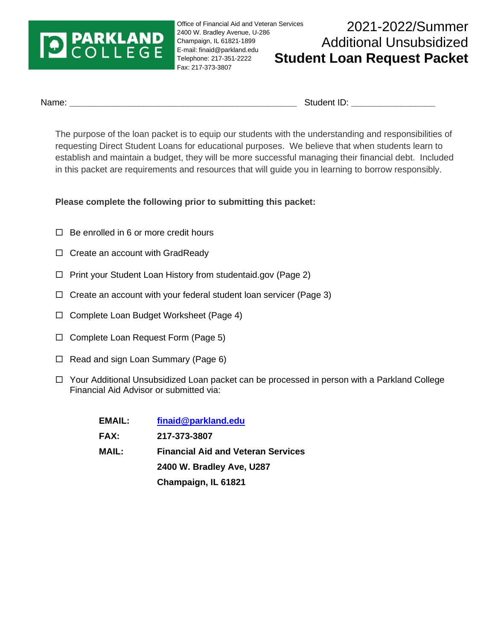# **PARKLAND**<br>COLLEGE

Office of Financial Aid and Veteran Services 2400 W. Bradley Avenue, U‐286 Champaign, IL 61821‐1899 E‐mail: finaid@parkland.edu Telephone: 217‐351‐2222 Fax: 217-373-3807

# 2021-2022/Summer Additional Unsubsidized **Student Loan Request Packet**

Name: **We also contain the container of the container of the Student ID: <b>Student ID: Name:**  $\alpha$ 

The purpose of the loan packet is to equip our students with the understanding and responsibilities of requesting Direct Student Loans for educational purposes. We believe that when students learn to establish and maintain a budget, they will be more successful managing their financial debt. Included in this packet are requirements and resources that will guide you in learning to borrow responsibly.

**Please complete the following prior to submitting this packet:** 

- $\Box$  Be enrolled in 6 or more credit hours
- $\Box$  Create an account with GradReady
- $\Box$  Print your Student Loan History from studentaid.gov (Page 2)
- $\Box$  Create an account with your federal student loan servicer (Page 3)
- □ Complete Loan Budget Worksheet (Page 4)
- $\Box$  Complete Loan Request Form (Page 5)
- $\Box$  Read and sign Loan Summary (Page 6)
- □ Your Additional Unsubsidized Loan packet can be processed in person with a Parkland College Financial Aid Advisor or submitted via:

| EMAIL:       | finaid@parkland.edu                       |  |
|--------------|-------------------------------------------|--|
| <b>FAX:</b>  | 217-373-3807                              |  |
| <b>MAIL:</b> | <b>Financial Aid and Veteran Services</b> |  |
|              | 2400 W. Bradley Ave, U287                 |  |
|              | Champaign, IL 61821                       |  |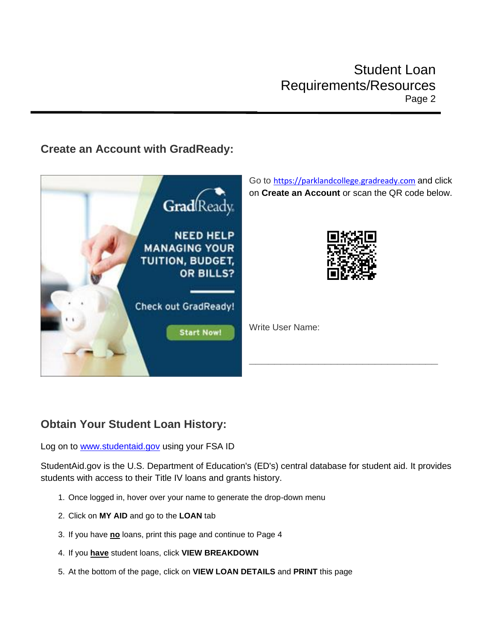### **Create an Account with GradReady:**



### **Obtain Your Student Loan History:**

Log on to [www.studentaid.gov](http://www.studentaid.gov/) using your FSA ID

StudentAid.gov is the U.S. Department of Education's (ED's) central database for student aid. It provides students with access to their Title IV loans and grants history.

- 1. Once logged in, hover over your name to generate the drop-down menu
- 2. Click on **MY AID** and go to the **LOAN** tab
- 3. If you have **no** loans, print this page and continue to Page 4
- 4. If you **have** student loans, click **VIEW BREAKDOWN**
- 5. At the bottom of the page, click on **VIEW LOAN DETAILS** and **PRINT** this page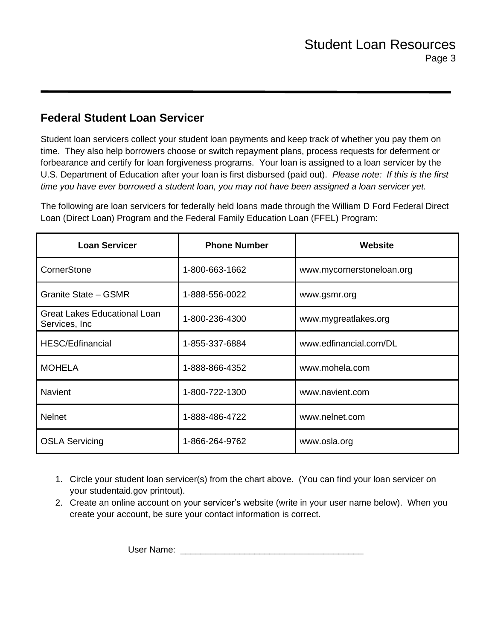## **Federal Student Loan Servicer**

Student loan servicers collect your student loan payments and keep track of whether you pay them on time. They also help borrowers choose or switch repayment plans, process requests for deferment or forbearance and certify for loan forgiveness programs. Your loan is assigned to a loan servicer by the U.S. Department of Education after your loan is first disbursed (paid out). *Please note: If this is the first time you have ever borrowed a student loan, you may not have been assigned a loan servicer yet.*

The following are loan servicers for federally held loans made through the William D Ford Federal Direct Loan (Direct Loan) Program and the Federal Family Education Loan (FFEL) Program:

| <b>Loan Servicer</b>                                  | <b>Phone Number</b> | Website                   |
|-------------------------------------------------------|---------------------|---------------------------|
| CornerStone                                           | 1-800-663-1662      | www.mycornerstoneloan.org |
| Granite State - GSMR                                  | 1-888-556-0022      | www.gsmr.org              |
| <b>Great Lakes Educational Loan</b><br>Services, Inc. | 1-800-236-4300      | www.mygreatlakes.org      |
| <b>HESC/Edfinancial</b>                               | 1-855-337-6884      | www.edfinancial.com/DL    |
| <b>MOHELA</b>                                         | 1-888-866-4352      | www.mohela.com            |
| <b>Navient</b>                                        | 1-800-722-1300      | www.navient.com           |
| <b>Nelnet</b>                                         | 1-888-486-4722      | www.nelnet.com            |
| <b>OSLA Servicing</b>                                 | 1-866-264-9762      | www.osla.org              |

- 1. Circle your student loan servicer(s) from the chart above. (You can find your loan servicer on your studentaid.gov printout).
- 2. Create an online account on your servicer's website (write in your user name below). When you create your account, be sure your contact information is correct.

User Name: \_\_\_\_\_\_\_\_\_\_\_\_\_\_\_\_\_\_\_\_\_\_\_\_\_\_\_\_\_\_\_\_\_\_\_\_\_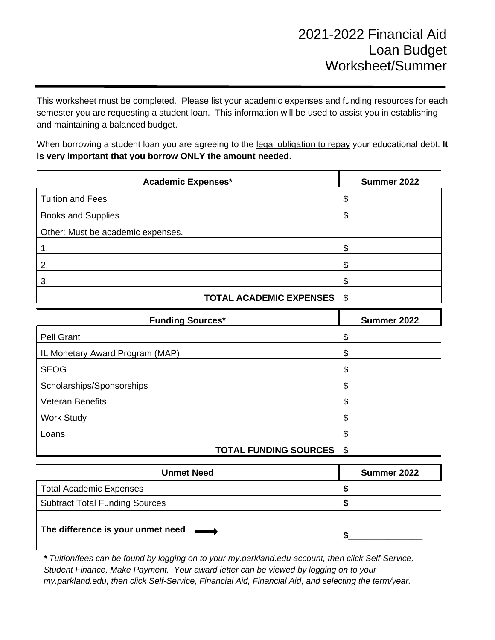This worksheet must be completed. Please list your academic expenses and funding resources for each semester you are requesting a student loan. This information will be used to assist you in establishing and maintaining a balanced budget.

When borrowing a student loan you are agreeing to the legal obligation to repay your educational debt. **It is very important that you borrow ONLY the amount needed.**

| <b>Academic Expenses*</b>           | Summer 2022 |
|-------------------------------------|-------------|
| <b>Tuition and Fees</b>             |             |
| <b>Books and Supplies</b>           |             |
| Other: Must be academic expenses.   |             |
|                                     |             |
| 2.                                  | ጥ           |
| 3.                                  | ጥ           |
| <b>TOTAL ACADEMIC EXPENSES   \$</b> |             |

| <b>Funding Sources*</b>         | Summer 2022 |
|---------------------------------|-------------|
| Pell Grant                      | \$          |
| IL Monetary Award Program (MAP) | \$          |
| <b>SEOG</b>                     |             |
| Scholarships/Sponsorships       | ጥ<br>Ф      |
| <b>Veteran Benefits</b>         |             |
| <b>Work Study</b>               | ጦ           |
| Loans                           |             |
| <b>TOTAL FUNDING SOURCES</b>    | \$          |

| <b>Unmet Need</b>                     | Summer 2022 |
|---------------------------------------|-------------|
| <b>Total Academic Expenses</b>        |             |
| <b>Subtract Total Funding Sources</b> |             |
| The difference is your unmet need     |             |

*\* Tuition/fees can be found by logging on to your my.parkland.edu account, then click Self-Service, Student Finance, Make Payment. Your award letter can be viewed by logging on to your my.parkland.edu, then click Self-Service, Financial Aid, Financial Aid, and selecting the term/year.*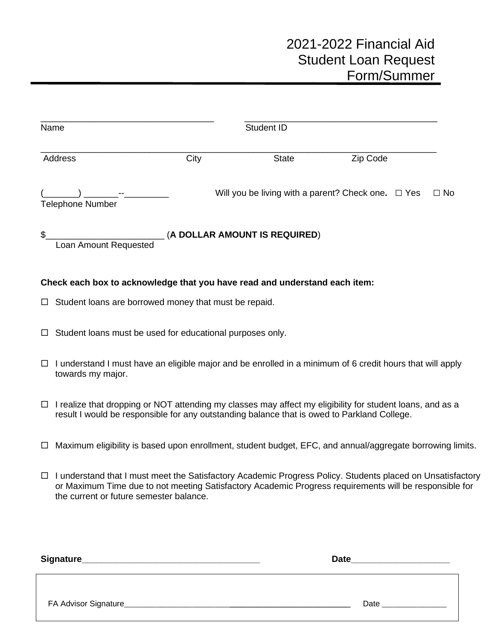|        | Name                                                                                                                                                                                                                                                            |      | Student ID                    |                                                         |           |
|--------|-----------------------------------------------------------------------------------------------------------------------------------------------------------------------------------------------------------------------------------------------------------------|------|-------------------------------|---------------------------------------------------------|-----------|
|        | Address                                                                                                                                                                                                                                                         | City | <b>State</b>                  | Zip Code                                                |           |
|        | <b>Telephone Number</b>                                                                                                                                                                                                                                         |      |                               | Will you be living with a parent? Check one. $\Box$ Yes | $\Box$ No |
| \$     | Loan Amount Requested                                                                                                                                                                                                                                           |      | (A DOLLAR AMOUNT IS REQUIRED) |                                                         |           |
|        | Check each box to acknowledge that you have read and understand each item:                                                                                                                                                                                      |      |                               |                                                         |           |
|        | $\Box$ Student loans are borrowed money that must be repaid.                                                                                                                                                                                                    |      |                               |                                                         |           |
| ⊔      | Student loans must be used for educational purposes only.                                                                                                                                                                                                       |      |                               |                                                         |           |
| $\Box$ | I understand I must have an eligible major and be enrolled in a minimum of 6 credit hours that will apply<br>towards my major.                                                                                                                                  |      |                               |                                                         |           |
|        | $\Box$ I realize that dropping or NOT attending my classes may affect my eligibility for student loans, and as a<br>result I would be responsible for any outstanding balance that is owed to Parkland College.                                                 |      |                               |                                                         |           |
| □      | Maximum eligibility is based upon enrollment, student budget, EFC, and annual/aggregate borrowing limits.                                                                                                                                                       |      |                               |                                                         |           |
| $\Box$ | I understand that I must meet the Satisfactory Academic Progress Policy. Students placed on Unsatisfactory<br>or Maximum Time due to not meeting Satisfactory Academic Progress requirements will be responsible for<br>the current or future semester balance. |      |                               |                                                         |           |
|        |                                                                                                                                                                                                                                                                 |      |                               |                                                         |           |

| Signature_            | <b>Date</b> |  |
|-----------------------|-------------|--|
|                       |             |  |
| FA Advisor Signature_ | Date        |  |